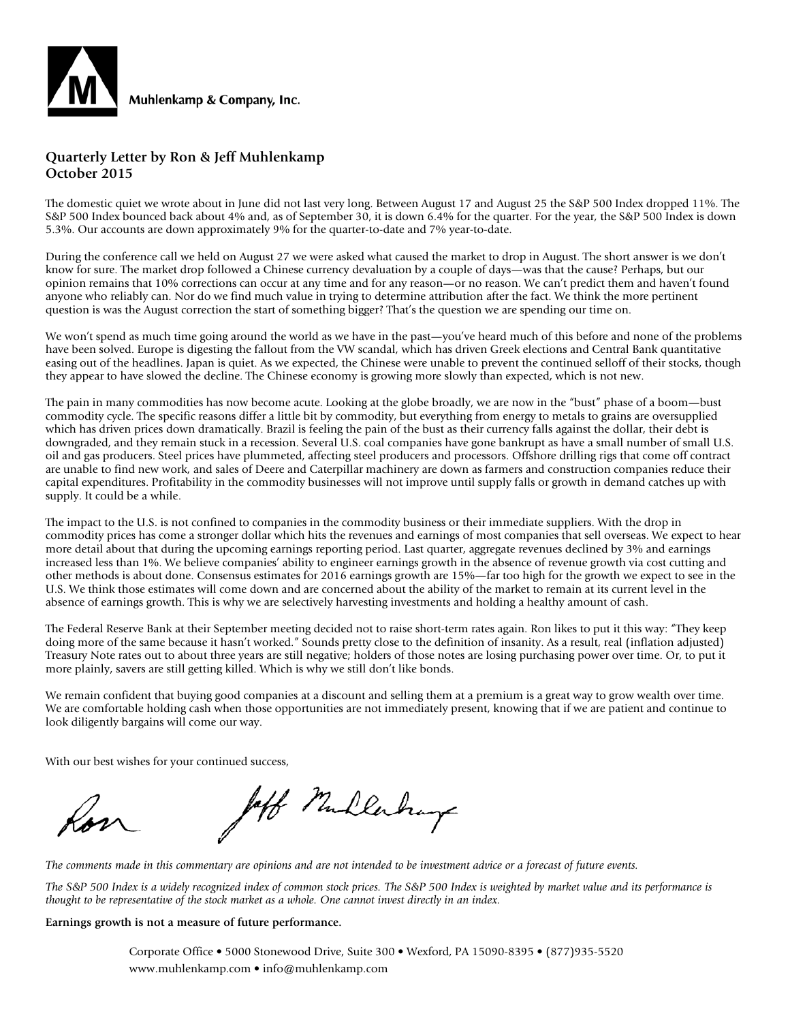

#### **Quarterly Letter by Ron & Jeff Muhlenkamp October 2015**

The domestic quiet we wrote about in June did not last very long. Between August 17 and August 25 the S&P 500 Index dropped 11%. The S&P 500 Index bounced back about 4% and, as of September 30, it is down 6.4% for the quarter. For the year, the S&P 500 Index is down 5.3%. Our accounts are down approximately 9% for the quarter-to-date and 7% year-to-date.

During the conference call we held on August 27 we were asked what caused the market to drop in August. The short answer is we don't know for sure. The market drop followed a Chinese currency devaluation by a couple of days—was that the cause? Perhaps, but our opinion remains that 10% corrections can occur at any time and for any reason—or no reason. We can't predict them and haven't found anyone who reliably can. Nor do we find much value in trying to determine attribution after the fact. We think the more pertinent question is was the August correction the start of something bigger? That's the question we are spending our time on.

We won't spend as much time going around the world as we have in the past—you've heard much of this before and none of the problems have been solved. Europe is digesting the fallout from the VW scandal, which has driven Greek elections and Central Bank quantitative easing out of the headlines. Japan is quiet. As we expected, the Chinese were unable to prevent the continued selloff of their stocks, though they appear to have slowed the decline. The Chinese economy is growing more slowly than expected, which is not new.

The pain in many commodities has now become acute. Looking at the globe broadly, we are now in the "bust" phase of a boom—bust commodity cycle. The specific reasons differ a little bit by commodity, but everything from energy to metals to grains are oversupplied which has driven prices down dramatically. Brazil is feeling the pain of the bust as their currency falls against the dollar, their debt is downgraded, and they remain stuck in a recession. Several U.S. coal companies have gone bankrupt as have a small number of small U.S. oil and gas producers. Steel prices have plummeted, affecting steel producers and processors. Offshore drilling rigs that come off contract are unable to find new work, and sales of Deere and Caterpillar machinery are down as farmers and construction companies reduce their capital expenditures. Profitability in the commodity businesses will not improve until supply falls or growth in demand catches up with supply. It could be a while.

The impact to the U.S. is not confined to companies in the commodity business or their immediate suppliers. With the drop in commodity prices has come a stronger dollar which hits the revenues and earnings of most companies that sell overseas. We expect to hear more detail about that during the upcoming earnings reporting period. Last quarter, aggregate revenues declined by 3% and earnings increased less than 1%. We believe companies' ability to engineer earnings growth in the absence of revenue growth via cost cutting and other methods is about done. Consensus estimates for 2016 earnings growth are 15%—far too high for the growth we expect to see in the U.S. We think those estimates will come down and are concerned about the ability of the market to remain at its current level in the absence of earnings growth. This is why we are selectively harvesting investments and holding a healthy amount of cash.

The Federal Reserve Bank at their September meeting decided not to raise short-term rates again. Ron likes to put it this way: "They keep doing more of the same because it hasn't worked." Sounds pretty close to the definition of insanity. As a result, real (inflation adjusted) Treasury Note rates out to about three years are still negative; holders of those notes are losing purchasing power over time. Or, to put it more plainly, savers are still getting killed. Which is why we still don't like bonds.

We remain confident that buying good companies at a discount and selling them at a premium is a great way to grow wealth over time. We are comfortable holding cash when those opportunities are not immediately present, knowing that if we are patient and continue to look diligently bargains will come our way.

With our best wishes for your continued success,

laff Mullerhays

*The comments made in this commentary are opinions and are not intended to be investment advice or a forecast of future events.*

*The S&P 500 Index is a widely recognized index of common stock prices. The S&P 500 Index is weighted by market value and its performance is thought to be representative of the stock market as a whole. One cannot invest directly in an index.*

#### **Earnings growth is not a measure of future performance.**

Corporate Office • 5000 Stonewood Drive, Suite 300 • Wexford, PA 15090-8395 • (877)935-5520 www.muhlenkamp.com • info@muhlenkamp.com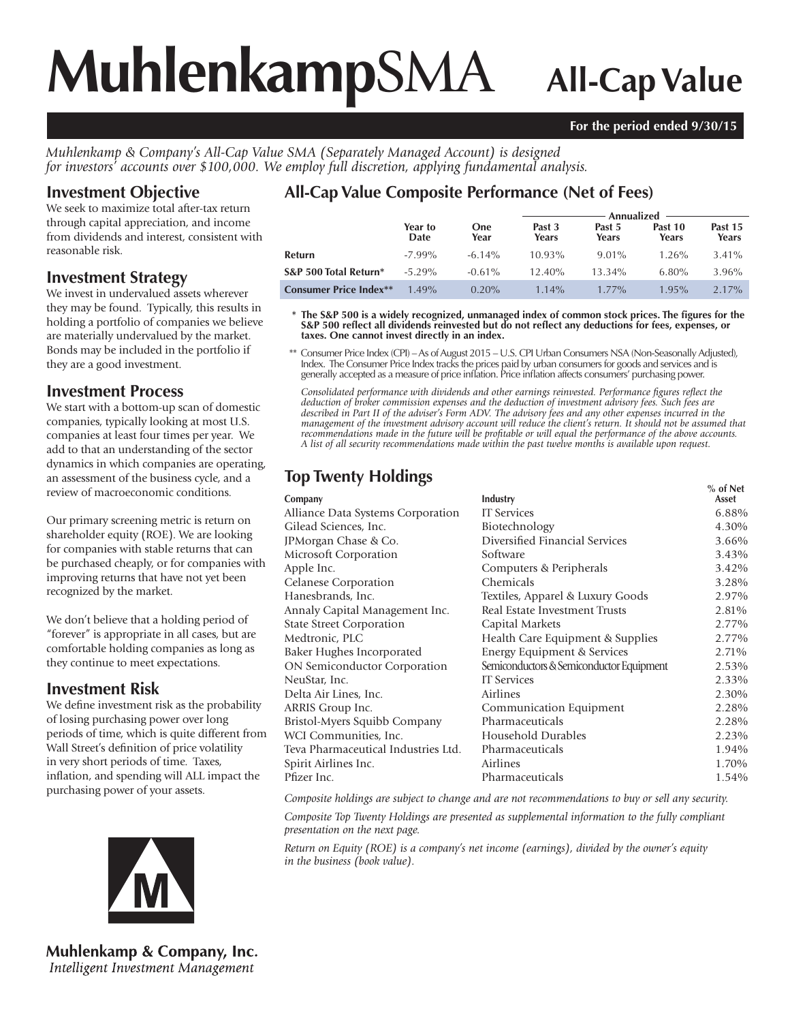# **Muhlenkamp**SMA **All-Cap Value**

#### **For the period ended 9/30/15**

*Muhlenkamp & Company's All-Cap Value SMA (Separately Managed Account) is designed for investors' accounts over \$100,000. We employ full discretion, applying fundamental analysis.*

#### **Investment Objective**

We seek to maximize total after-tax return through capital appreciation, and income from dividends and interest, consistent with reasonable risk.

#### **Investment Strategy**

We invest in undervalued assets wherever they may be found. Typically, this results in holding a portfolio of companies we believe are materially undervalued by the market. Bonds may be included in the portfolio if they are a good investment.

#### **Investment Process**

We start with a bottom-up scan of domestic companies, typically looking at most U.S. companies at least four times per year. We add to that an understanding of the sector dynamics in which companies are operating, an assessment of the business cycle, and a review of macroeconomic conditions.

Our primary screening metric is return on shareholder equity (ROE). We are looking for companies with stable returns that can be purchased cheaply, or for companies with improving returns that have not yet been recognized by the market.

We don't believe that a holding period of "forever" is appropriate in all cases, but are comfortable holding companies as long as they continue to meet expectations.

#### **Investment Risk**

We define investment risk as the probability of losing purchasing power over long periods of time, which is quite different from Wall Street's definition of price volatility in very short periods of time. Taxes, inflation, and spending will ALL impact the purchasing power of your assets.



**Muhlenkamp & Company, Inc.** Intelligent Investment Management

## **All-Cap Value Composite Performance (Net of Fees)**

|                               |                 |                    | Annualized      |                 |                  |                  |  |
|-------------------------------|-----------------|--------------------|-----------------|-----------------|------------------|------------------|--|
|                               | Year to<br>Date | <b>One</b><br>Year | Past 3<br>Years | Past 5<br>Years | Past 10<br>Years | Past 15<br>Years |  |
| Refurn                        | $-7.99\%$       | $-6.14\%$          | 10.93%          | $9.01\%$        | $1.26\%$         | $3.41\%$         |  |
| S&P 500 Total Return*         | $-5.29\%$       | $-0.61\%$          | $12.40\%$       | $13.34\%$       | 6.80%            | 3.96%            |  |
| <b>Consumer Price Index**</b> | $1.49\%$        | $0.20\%$           | $1.14\%$        | $1.77\%$        | 1.95%            | $2.17\%$         |  |

\* The S&P 500 is a widely recognized, unmanaged index of common stock prices. The figures for the S&P 500 reflect all dividends reinvested but do not reflect any deductions for fees, expenses, or **taxes. One cannot invest directly in an index.**

 \*\* Consumer Price Index (CPI) – As of August 2015 – U.S. CPI Urban Consumers NSA (Non-Seasonally Adjusted), Index. The Consumer Price Index tracks the prices paid by urban consumers for goods and services and is generally accepted as a measure of price infl ation. Price infl ation affects consumers' purchasing power.

Consolidated performance with dividends and other earnings reinvested. Performance figures reflect the *deduction of broker commission expenses and the deduction of investment advisory fees. Such fees are described in Part II of the adviser's Form ADV. The advisory fees and any other expenses incurred in the management of the investment advisory account will reduce the client's return. It should not be assumed that recommendations made in the future will be profi table or will equal the performance of the above accounts. A list of all security recommendations made within the past twelve months is available upon request.*

| <b>Top Twenty Holdings</b>          |                                          |            |
|-------------------------------------|------------------------------------------|------------|
|                                     |                                          | $%$ of Net |
| Company                             | Industry                                 | Asset      |
| Alliance Data Systems Corporation   | <b>IT Services</b>                       | 6.88%      |
| Gilead Sciences, Inc.               | Biotechnology                            | 4.30%      |
| JPMorgan Chase & Co.                | Diversified Financial Services           | 3.66%      |
| Microsoft Corporation               | Software                                 | 3.43%      |
| Apple Inc.                          | Computers & Peripherals                  | 3.42%      |
| Celanese Corporation                | Chemicals                                | 3.28%      |
| Hanesbrands, Inc.                   | Textiles, Apparel & Luxury Goods         | 2.97%      |
| Annaly Capital Management Inc.      | Real Estate Investment Trusts            | 2.81%      |
| <b>State Street Corporation</b>     | Capital Markets                          | 2.77%      |
| Medtronic, PLC                      | Health Care Equipment & Supplies         | 2.77%      |
| Baker Hughes Incorporated           | Energy Equipment & Services              | 2.71%      |
| <b>ON Semiconductor Corporation</b> | Semiconductors & Semiconductor Equipment | 2.53%      |
| NeuStar, Inc.                       | <b>IT Services</b>                       | 2.33%      |
| Delta Air Lines, Inc.               | Airlines                                 | 2.30%      |
| <b>ARRIS Group Inc.</b>             | Communication Equipment                  | 2.28%      |
| Bristol-Myers Squibb Company        | Pharmaceuticals                          | 2.28%      |
| WCI Communities, Inc.               | Household Durables                       | 2.23%      |
| Teva Pharmaceutical Industries Ltd. | Pharmaceuticals                          | 1.94%      |
| Spirit Airlines Inc.                | Airlines                                 | 1.70%      |
| Pfizer Inc.                         | Pharmaceuticals                          | 1.54%      |

*Composite holdings are subject to change and are not recommendations to buy or sell any security.*

*Composite Top Twenty Holdings are presented as supplemental information to the fully compliant presentation on the next page.*

*Return on Equity (ROE) is a company's net income (earnings), divided by the owner's equity in the business (book value).*